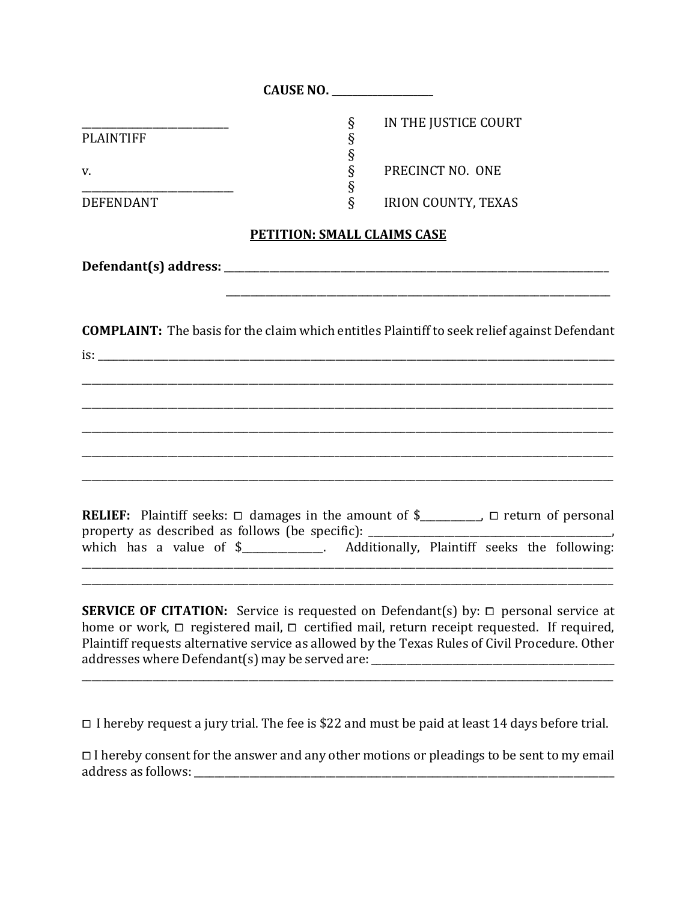| <b>PLAINTIFF</b>                                         | $\S$                | IN THE JUSTICE COURT                                                                                                                                                                                                                                                                                     |
|----------------------------------------------------------|---------------------|----------------------------------------------------------------------------------------------------------------------------------------------------------------------------------------------------------------------------------------------------------------------------------------------------------|
| v.                                                       | §<br>§<br>§<br>$\S$ | PRECINCT NO. ONE                                                                                                                                                                                                                                                                                         |
| <b>DEFENDANT</b>                                         | $\hat{\S}$          | <b>IRION COUNTY, TEXAS</b>                                                                                                                                                                                                                                                                               |
| <b>PETITION: SMALL CLAIMS CASE</b>                       |                     |                                                                                                                                                                                                                                                                                                          |
|                                                          |                     |                                                                                                                                                                                                                                                                                                          |
| $\frac{1}{2}$ is:                                        |                     | <b>COMPLAINT:</b> The basis for the claim which entitles Plaintiff to seek relief against Defendant                                                                                                                                                                                                      |
| property as described as follows (be specific): ________ |                     | <b>RELIEF:</b> Plaintiff seeks: $\Box$ damages in the amount of \$________, $\Box$ return of personal<br>which has a value of \$______________. Additionally, Plaintiff seeks the following:                                                                                                             |
|                                                          |                     | <b>SERVICE OF CITATION:</b> Service is requested on Defendant(s) by: $\Box$ personal service at<br>home or work, $\Box$ registered mail, $\Box$ certified mail, return receipt requested. If required,<br>Plaintiff requests alternative service as allowed by the Texas Rules of Civil Procedure. Other |

<sup>⧠</sup> I hereby request a jury trial. The fee is \$22 and must be paid at least 14 days before trial.

 $\Box$  I hereby consent for the answer and any other motions or pleadings to be sent to my email address as follows: \_\_\_\_\_\_\_\_\_\_\_\_\_\_\_\_\_\_\_\_\_\_\_\_\_\_\_\_\_\_\_\_\_\_\_\_\_\_\_\_\_\_\_\_\_\_\_\_\_\_\_\_\_\_\_\_\_\_\_\_\_\_\_\_\_\_\_\_\_\_\_\_\_\_\_\_\_\_\_\_\_\_\_